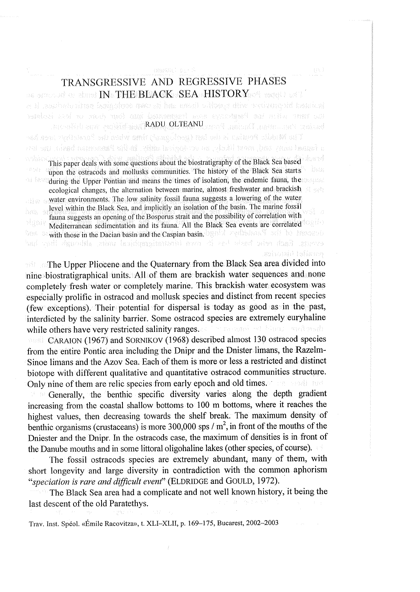# TRANSGRESSIVE AND REGRESSIVE PHASES TRANSGRESSIVE AND REGRESSIVE PHASES IN. THE BLACK. SEA. HISTORY. IN. THE BLACK. SEA. HISTORY.

konutad biogravirvo wila cupaffo linum dal le ova koplenical particularione, it e "RADU. OLTEANU .. "RADU. OLTEANU .. The Widdle Poutlan is the last (geological) this when the Picelethyn need har

a fannad umitt und, mett likele, au er duelend midte. Belijke Paten enne haale var iete This paper deals with some questions about the biostratigraphy of the Black Sea based

upon the ostracods and mollusks communities. The history of the Black Sea starts during the Upper Pontian and means the times of isolation, the endemic fauna, the during the Upper Pontian and means the times of isolation, the endemic fauna, the ecological changes, the alternation between marine, almost freshwater and brackish water environments. The low salinity fossil fauna suggests a lowering of the water alish s level within the Black Sea, and implicitly an isolation of the basin. The marine fossil fauna suggests an opening of the Bosporus strait and the possibility of correlation with fauna suggests an opening of the Bosporus strait and the possibility of correlation with Mediterranean sedimentation and its fauna. All the Black Sea events are correlated  $\frac{1}{2}$  and  $\frac{1}{2}$ with those in the Dacian basin and the Caspian basin.  $\log \mathrm{M}$  are discussed and the Presence is svents, fiash relat bash has it own biratrailessphiral smin, skionsk line had mainsid biologica

The Upper Pliocene and the Quaternary from the Black Sea area divided into The Upper Pliocene and the Quaternary from the Black Sea area divided into nine biostratigraphical units. All-of them are brackish water sequences and. none nine biostratigraphical units. All-of them are brackish water sequences and. none completely fresh water or completely marine. This brackish water ecosystem was completely fresh water or completely marine. This brackish water ecosystem was especially prolific in ostracod and mollusk species and distinct from recent species especially prolific in ostracod and mollusk species and distinct from recent species (few exceptions). Their potential for dispersal is today as good as in the past, (few exceptions). Their potential for dispersal is today as good as in the. past, interdicted by the salinity barrier. Some ostracod species are extremely euryhaline interdicted by the salinity barrier. Some ostracod species are extremely euryhaline while others have very restricted salinity ranges. while others have very restricted salinity ranges.

~ CARAION (1967) and SORNIKOV (1968) described almost 130 ostracod species ~ CARAION (1967) and SORNIKOV (1968) described almost 130 ostracod species from the entire Pontic area including the Dnipr and the Dnister limans, the Razelm-from the entire Pontic area including the Dnipr and the Dnister limans, the Razelm-Sinoe limans and the Azov Sea. Each of them is more or less a restricted and distinct Sinoe limans and the Azov Sea. Each of them is more or less a restricted and distinct biotope with different qualitative and quantitative ostracod communities structure. biotope with different qualitative and quantitative ostracod communities structure. Only nine of them are relic species from early epoch and old times. Only nine of them are relic species from early epoch and old times.

Generally, the benthic specific diversity varies along the depth gradient Generally, the benthic specific diversity varies along the depth gradient increasing from the coastal shallow bottoms to 100 m bottoms, where it reaches the increasing from the coastal shallow bottoms to 100 m bottoms, where it reaches the highest values, then decreasing towards the shelf break. The maximum density of highest values, then decreasing towards the shelf break. The maximum density of benthic organisms (crustaceans) is more 300,000 sps  $/m^2$ , in front of the mouths of the Dniester and the Dnipr. In the ostracods case, the maximum of densities is in front of Dniester and the Dnipr. In the ostracods case, the maximum of densities is in front of the Danube mouths and in some littoral oligohaline lakes (other species, of course). the Danube mouths and in some littoral oligohaline lakes (other species, of course),

The fossil ostracods species are extremely abundant, many of them, with The fossil ostracods species are extremely abundant, many of them, with short longevity and large diversity in contradiction with the common aphorism short longevity and large diversity in contradiction with the common aphorism "sneciation is rare and difficult event" (ELDRIDGE and GOULD, 1972).

The Black Sea area had a complicate and not well known history, it being the The Black Sea area had a complicate and not well known history, it being the last descent of the old Paratethys. last descent of the old Paratethys.

Trav. Inst. Spéol. «Emile Racovitza», t. XLI-XLI, p. 169-175, Bucarest, 2002-2003 Trav. Inst. Spéol. «Emile Racovitza», t. XLI-XLI, p. 169-175, Bucarest, 2002-2003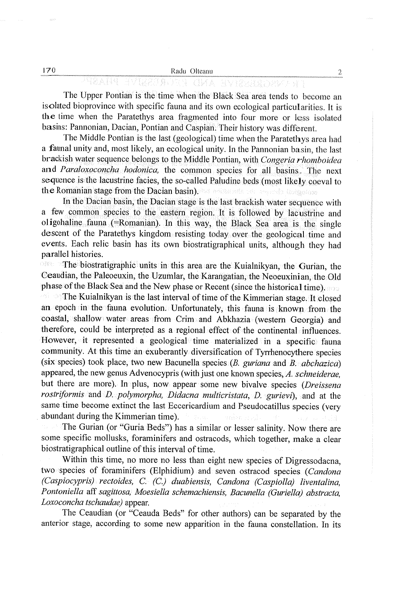$2\,$ 

## TV VVRGRENSKVE AND FLICRUSSYN

The Upper Pontian is the time when the Black Sea area tends to become an isolated bioprovince with specific fauna and its own ecological particularities. It is the time when the Paratethys area fragmented into four more or less isolated the time when the Paratethys area fragmented into four more or less isolated basins: Pannonian, Dacian, Pontian and Caspian. Their history was different. basins: Pannonian, Dacian, Pontian and Caspian. Their history was different.

The Middle Pontian is the last (geological) time when the Paratethys area had The Middle Pontian is the last (geological) time when the Paratethys area had a faunal unity and, most likely, an ecological unity. In the Pannonian basin, the last brackish water sequence belongs to the Middle Pontian, with Congeria rhomboidea and Paraloxoconcha hodonica, the common species for all basins. The next sequence is the lacustrine facies, the so-called Paludine beds (most likely coeval to the Romanian stage from the Dacian basin).

In the Dacian basin, the Dacian stage is the last brackish water sequence with In the Dacian basin, the Dacian stage is the last brackish water sequence with a few common. species to the eastern region. It is followed by lacustrine and a few common. species to the eastern region. It is followed by lacustrine and oligohaline. fauna (=Romanian). In this way, the Black Sea area is the single oligohaline. fauna (=Romanian). In this way, the Black Sea area is the single events. Each relic basin has its own biostratigraphical units, although they had parallel histories. descent of the Paratethys kingdom. resisting today over the geological time and

The biostratigraphic units in this area are the Kuialnikyan, the Gurian, the The biostratigraphic units in this area are the Kuialnikyan, the Gurian, the Ceaudian, the Paleoeuxin, the Uzumlar, the Karangatian, the Neoeuxinian, the Old Ceaudian, the Paleoeuxin, the Uzumlar, the Karangatian, the Neoeuxinian, the Old phase of the Black Sea and the New phase or Recent (since the historical time).

The Kuialnikyan is the last interval of time of the Kimmerian stage. It closed The Kuialnikyan is the last interval of time of the Kimmerian stage. It closed an epoch in the fauna evolution. Unfortunately, this fauna is known from the<br>coastal, shallow water areas from Crim and Abkhazia (western Georgia) and therefore, could be interpreted as a regional effect of the continental influences. therefore, could be interpreted as a regional effect of the continental. influences. However, it represented a geological time materialized in a specific: fauna However, it represented a geological time materialized in a specific: fauna community. At this time an exuberantly diversification of Tyrrhenocythere species community. At this time an exuberantly diversification of Tyrrhenocythere species appeared, the new genus Advenocypris (with just one known species, A. schneiderae, but there are more). In plus, now appear some new bivalve species (*Dreissena* rostriformis and D. polymorpha, Didacna multicristata, D. gurievi), and at the same time become extinct the last Eccericardium and Pseudocatillus species (very \_ abundant during the Kimmerian time). \_ abundant during the Kimmerian time). (six species) took place, two new Bacunella species  $(B. guriana$  and  $B. abchazica$ )

The Gurian (or "Guria Beds") has a similar or lesser salinity. Now there are The Gurian (or "Guria Beds") has a similar or lesser salinity. Now there are some specific mollusks, foraminifers and ostracods, which together, make a clear biostratigraphical outline of this interval of time. biostratigraphical outline of this interval of time.

Within this time, no more no less than eight new species of Digressodacna, Within this time, no more no less than eight new species of Digressodacna, two species of foraminifers (Elphidium) and seven ostracod species (Candona (Caspiocypris). rectoides, C. (C.) duabiensis, Candona (Caspiolla) liventalina, (Caspiocypris). rectoides, C. (C.) duabiensis, Candona (Caspiolla) liventalina, Pontoniella aff sagittosa, Moesiella schemachiensis, Bacunella (Guriella) abstracta, Pontoniella aff sagittosa, Moesiella schemachiensis, Bacunella (Guriella) abstracta, Loxoconcha tschaudae) appear. Loxoconcha tschaudae) appear.

The Ceaudian (or "Ceauda Beds" for other authors) can be separated by the The Ceaudian (or "Ceauda Beds" for other authors) can be separated by the anterior stage, according to some new apparition in the fauna constellation. In its anterior stage, according to some new apparition in the fauna constellation. In its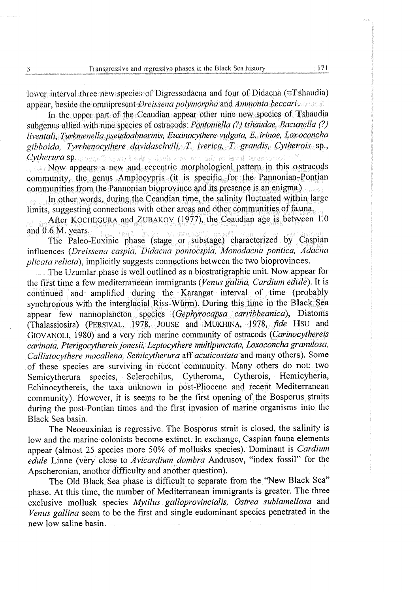lower interval three new species of Digressodacna and four of Didacna (=Tshaudia) lower interval three new: species of Digressodacna and four of Didacna (=Tshaudia) appear, beside the omnipresent *Dreissena polymorpha* and *Ammonia beccari.* The second of the omnipresent of the second of the second of the second of the second of the second of the second of the second of the second of

In the upper part of the Ceaudian appear other nine new species of Tshaudia In the upper part of the Ceaudian appear other nine new species of Tshaudia subgenus allied with nine species of ostracods: *Pontoniella (?) tshaudae, Bacunella (?)* liventali, Turkmenella pseudoabnormis, Euxinocythere vulgata, E. irinae, Loxoconcha liventali, Turkmenella pseudoabnormis, Euxinocythere vulgata, E. irinae, Loxoconcha gibboida, Tyrrhenocythere davidaschvili, T. iverica, T. grandis, Cytherois sp., Cytherura sp. Cytherura sp.

Now appears a new and eccentric morphological pattern in this ostracods community, the genus Amplocypris (it is specific for the Pannonian-Pontian communities from the Pannonian bioprovince and its presence is an enigma)

In other words, during the Ceaudian time, the salinity fluctuated within large In other words, during the Ceaudian time, the salinity fluctuated within large limits, suggesting connections with other areas and other communities of fauna.

\_ . After KOCHEGURA and ZUBAKOV (1977), the Ceaudian age is between 1.0 \_ . After KOCHEGURA and ZUBAKOV (1977), the Ceaudian age is between 1.0 and 0.6 M. years, and 0.6 M. years,

The Paleo-Euxinic phase (stage or \_ substage) characterized by Caspian The Paleo-Euxinic phase (stage or \_ substage) characterized by Caspian influences (Dreissena caspia, Didacna pontocspia, Monodacna pontica, Adacna influences (Dreissena caspia, Didacna pontocspia, Monodacna pontica, Adacna plicata relicta), implicitly suggests connections between the two bioprovinces. plicata relicta), implicitly suggests connections between the two bioprovinces.

The Uzumlar phase is well outlined as a biostratigraphic unit. Now appear for The Uzumlar phase is well outlined as a biostratigraphic unit. Now appear for the first time a few mediterraneean immigrants (Venus galina, Cardium edule). It is continued and amplified during the Karangat interval of time (probably synchronous with the interglacial Riss- Wiirm). During this time in the Black Sea synchronous with the interglacial Riss- Wiirm). During this time in the Black Sea appear few nannoplancton. species (Gephyrocapsa carribbeanica), Diatoms appear few nannoplancton. species (Gephyrocapsa\_ carribbeanica), Diatoms (Thalassiosira) (PERSIVAL, 1978, JOUSE and MUKHINA, 1978, fide Hsu and (Thalassiosira) (PERSIVAL, 1978, JOUSE and MUKHINA, 1978, fide Hsu and GIOVANOLI, 1980) and a very rich marine community of ostracods (*Carinocythereis* carinata, Pterigocythereis jonesii, Leptocythere multipunctata, Loxoconcha granulosa, carinata, Pterigocythereis jonesii, Leptocythere multipunctata, Loxoconcha granulosa, Callistocythere macallena, Semicytherura aff acuticostata and many others), Some Callistocythere macallena, Semicytherura aff acuticostata and many others), Some of these species are surviving in recent community. Many others do not:. two of these species are surviving in recent community. Many others do not: two Semicytherura species, Sclerochilus, Cytheroma, Cytherois, Hemicyheria, Semicytherura species, Sclerochilus, Cytheroma, Cytherois, Hemicyheria, Echinocythereis, the taxa unknown in post-Pliocene and recent Mediterranean Echinocythereis, the taxa unknown in post-Pliocene and recent Mediterranean community). However, it is seems to be the first opening of the Bosporus straits community). However, it is seems to be the first opening of the Bosporus straits during the post-Pontian times and the first invasion of marine organisms into the during the post-Pontian times and the first invasion of marine organisms into the Black Sea basin. Black Sea basin.

The Neoeuxinian is regressive. The Bosporus strait is closed, the salinity is The Neoeuxinian is regressive. The Bosporus strait is closed, the salinity is low and the marine colonists become extinct. In exchange, Caspian fauna elements appear (almost 25 species more 50% of mollusks species). Dominant is Cardium appear (almost 25 species more 50% of mollusks species). Dominant is Cardium edule Linne (very close to *Avicardium dombra* Andrusov, "index fossil" for the Apscheronian, another difficulty and another question). Apscheronian, another difficulty and another question).

The Old Black Sea phase is difficult to separate from the "New Black Sea" phase. At this time, the number of Mediterranean immigrants is greater. The three exclusive mollusk species Mytilus galloprovincialis, Ostrea sublamellosa and exclusive mollusk species Mytilus galloprovincialis, Ostrea sublamellosa and Venus gallina seem to be the first and single eudominant species penetrated in the Venus gallina seem to be the first and single eudominant species penetrated in the new low saline basin. new low saline basin.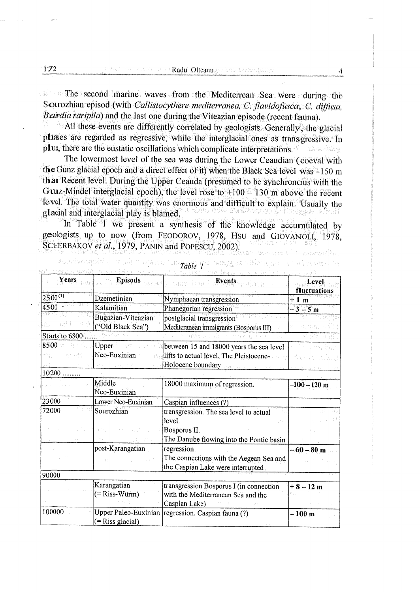| 172                                       |                                          | Apsel the state of th <b>Radu Olteanu</b> at bas a readigative i<br><b>Solution</b> The second marine waves from the Mediterrean Sea were during the<br>Sourozhian episod (with Callistocythere mediterranea, C. flavidofusca, C. diffusa, | 4                  |
|-------------------------------------------|------------------------------------------|--------------------------------------------------------------------------------------------------------------------------------------------------------------------------------------------------------------------------------------------|--------------------|
|                                           |                                          |                                                                                                                                                                                                                                            |                    |
|                                           |                                          |                                                                                                                                                                                                                                            |                    |
|                                           |                                          |                                                                                                                                                                                                                                            |                    |
|                                           |                                          |                                                                                                                                                                                                                                            |                    |
|                                           |                                          |                                                                                                                                                                                                                                            |                    |
|                                           |                                          |                                                                                                                                                                                                                                            |                    |
|                                           |                                          |                                                                                                                                                                                                                                            |                    |
|                                           |                                          | Bairdia raripila) and the last one during the Viteazian episode (recent fauna).                                                                                                                                                            |                    |
|                                           |                                          | All these events are differently correlated by geologists. Generally, the glacial                                                                                                                                                          |                    |
|                                           |                                          | phases are regarded as regressive, while the interglacial ones as transgressive. In                                                                                                                                                        |                    |
|                                           |                                          | plus, there are the eustatic oscillations which complicate interpretations.                                                                                                                                                                | <b>National Ca</b> |
|                                           |                                          | The lowermost level of the sea was during the Lower Ceaudian (coeval with                                                                                                                                                                  |                    |
|                                           |                                          | the Gunz glacial epoch and a direct effect of it) when the Black Sea level was -150 m                                                                                                                                                      |                    |
|                                           |                                          | than Recent level. During the Upper Ceauda (presumed to be synchronous with the                                                                                                                                                            |                    |
|                                           |                                          | Gunz-Mindel interglacial epoch), the level rose to $+100 - 130$ m above the recent                                                                                                                                                         |                    |
|                                           |                                          | level. The total water quantity was enormous and difficult to explain. Usually the                                                                                                                                                         |                    |
|                                           | glacial and interglacial play is blamed. |                                                                                                                                                                                                                                            |                    |
|                                           |                                          | In Table 1 we present a synthesis of the knowledge accumulated by                                                                                                                                                                          |                    |
|                                           |                                          | geologists up to now (from FEODOROV, 1978, HSU and GIOVANOLI, 1978,                                                                                                                                                                        |                    |
|                                           |                                          | SCHERBAKOV et al., 1979, PANIN and POPESCU, 2002).                                                                                                                                                                                         |                    |
|                                           | ROCKERODOGITO (117) BIJ DULIN            |                                                                                                                                                                                                                                            | asons ofter        |
|                                           |                                          | Table 1                                                                                                                                                                                                                                    | नेतिक एक गाउँ न    |
| Years                                     | <b>Episods</b>                           | Events                                                                                                                                                                                                                                     | Level              |
|                                           |                                          |                                                                                                                                                                                                                                            | fluctuations       |
| $2500^{(1)}$                              | Dzemetinian                              | Nymphaean transgression                                                                                                                                                                                                                    | $+1$ m             |
| $4500^{-2}$                               | Kalamitian                               | Phanegorian regression                                                                                                                                                                                                                     | $3 - 5m$           |
|                                           | Bugazian-Viteazian<br>("Old Black Sea")  | postglacial transgression                                                                                                                                                                                                                  | y geggirt          |
| <b>Starts to 6800  Starts</b>             |                                          | Mediteranean immigrants (Bosporus III)                                                                                                                                                                                                     |                    |
|                                           |                                          |                                                                                                                                                                                                                                            |                    |
|                                           |                                          |                                                                                                                                                                                                                                            |                    |
|                                           | Upper and                                | between 15 and 18000 years the sea level                                                                                                                                                                                                   |                    |
|                                           | Neo-Euxinian                             | lifts to actual level. The Pleistocene-                                                                                                                                                                                                    |                    |
| 8500 300 300 30<br>ਵਰ ਨਾ ਸਮਰਥੀ<br>$10200$ |                                          | Holocene boundary and the Holocene                                                                                                                                                                                                         |                    |
|                                           | Middle                                   | 18000 maximum of regression.                                                                                                                                                                                                               | –100 – 120 m       |
|                                           | Neo-Euxinian                             |                                                                                                                                                                                                                                            |                    |
|                                           | Lower Neo-Euxinian                       | Caspian influences (?)                                                                                                                                                                                                                     |                    |
|                                           | Sourozhian                               | transgression. The sea level to actual                                                                                                                                                                                                     |                    |
|                                           |                                          | level.                                                                                                                                                                                                                                     |                    |
|                                           |                                          | Bosporus II.                                                                                                                                                                                                                               |                    |
|                                           |                                          | The Danube flowing into the Pontic basin                                                                                                                                                                                                   |                    |
|                                           | post-Karangatian                         | regression                                                                                                                                                                                                                                 | $-60 - 80$ m       |
|                                           | $\mathbb{N}^{\mathbb{N}}_{\mathbb{N}}$   | The connections with the Aegean Sea and                                                                                                                                                                                                    |                    |
| 23000<br>72000<br>90000                   |                                          | the Caspian Lake were interrupted                                                                                                                                                                                                          |                    |
|                                           | Karangatian                              |                                                                                                                                                                                                                                            |                    |
|                                           | (= Riss-Würm)                            | transgression Bosporus I (in connection<br>with the Mediterranean Sea and the                                                                                                                                                              | $+8 - 12$ m        |
|                                           |                                          | Caspian Lake)                                                                                                                                                                                                                              |                    |
| 100000                                    | Upper Paleo-Euxinian                     | regression. Caspian fauna (?)                                                                                                                                                                                                              | – 100 m            |
|                                           | (= Riss glacial)                         |                                                                                                                                                                                                                                            |                    |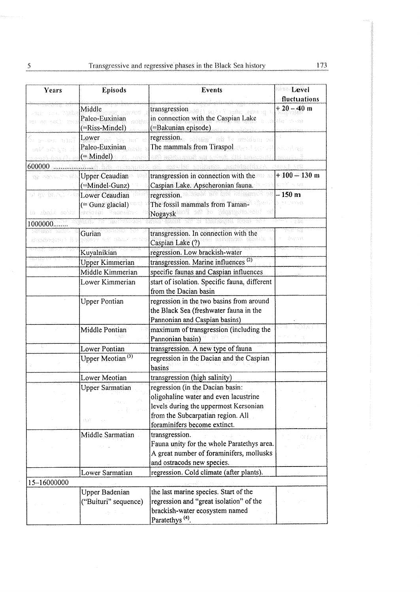| 5                                    |                                                 | Transgressive and regressive phases in the Black Sea history                                 | 173                         |
|--------------------------------------|-------------------------------------------------|----------------------------------------------------------------------------------------------|-----------------------------|
| Years                                | <b>Episods</b>                                  | Events                                                                                       | <b>Level</b>                |
|                                      |                                                 |                                                                                              | fluctuations                |
| 光云的<br>me sy                         | Middle<br>Paleo-Euxinian<br>(=Riss-Mindel)      | transgression<br>in connection with the Caspian Lake<br>(=Bakunian episode)                  | $+20 - 40$ m<br>Sign trocke |
| The Care to<br>usil <sup>e</sup> ach | Lower<br>Paleo-Euxinian<br>$( = Mindel)$        | regression.<br>9W.<br>stNebo<br>The mammals from Tiraspol<br>a Al                            | wall of lagy                |
| 600000<br>ea sesuit                  | <b>Upper Ceaudian</b>                           | transgression in connection with the                                                         | $+100 - 130$ m              |
|                                      | (=Mindel-Gunz)                                  | Caspian Lake. Apscheronian fauna.                                                            |                             |
| ahay isang A<br>te sbaid monu        | Lower Ceaudian<br>(= Gunz glacial)<br>avtovia). | regression.<br>The fossil mammals from Taman-<br>Nogaysk                                     | – 150 m<br>na parage        |
| 1000000                              | Gurian                                          | transgression. In connection with the                                                        | - 436                       |
|                                      |                                                 | Caspian Lake (?)                                                                             | hansk                       |
|                                      | Kuyalnikian<br><b>Upper Kimmerian</b>           | regression. Low brackish-water<br>transgression. Marine influences <sup>(2)</sup>            |                             |
|                                      | Middle Kimmerian                                | specific faunas and Caspian influences                                                       |                             |
|                                      | Lower Kimmerian                                 | start of isolation. Specific fauna, different<br>from the Dacian basin                       |                             |
|                                      | <b>Upper Pontian</b>                            | regression in the two basins from around<br>the Black Sea (freshwater fauna in the           |                             |
|                                      | Middle Pontian                                  | Pannonian and Caspian basins)<br>maximum of transgression (including the<br>Pannonian basin) |                             |
|                                      | Lower Pontian<br>Upper Meotian <sup>(3)</sup>   | transgression. A new type of fauna<br>regression in the Dacian and the Caspian               |                             |
|                                      |                                                 | basins                                                                                       |                             |
|                                      | Lower Meotian                                   | transgression (high salinity)                                                                |                             |
|                                      | <b>Upper Sarmatian</b>                          | regression (in the Dacian basin:<br>oligohaline water and even lacustrine                    |                             |
|                                      | 线线                                              | levels during the uppermost Kersonian<br>from the Subcarpatian region. All                   |                             |
|                                      | Middle Sarmatian                                | foraminifers become extinct.<br>transgression.                                               |                             |
|                                      |                                                 | Fauna unity for the whole Paratethys area.<br>A great number of foraminifers, mollusks       |                             |
|                                      | Lower Sarmatian                                 | and ostracods new species.<br>regression. Cold climate (after plants).                       |                             |
| 15-16000000                          |                                                 |                                                                                              |                             |
|                                      | Upper Badenian<br>("Buituri" sequence)          | the last marine species. Start of the<br>regression and "great isolation" of the             |                             |
|                                      |                                                 | brackish-water ecosystem named<br>Paratethys <sup>(4)</sup> .                                |                             |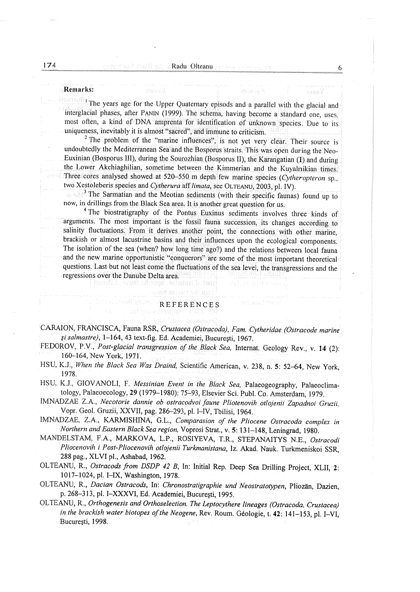### Remarks: Remarks:

|The years age for the Upper Quaternary episods and a parallel with the glacial-and |The years age for the Upper Quaternary episods and a parallel with the glacial-and interglacial phases, after PANIN (1999). The schema, having become a standard one, uses,<br>most often, a kind of DNA amprenta for identification of unknown species. Due to its<br>uniqueness, inevitably it is almost "sacred", an uniqueness, inevitably it is almost "sacred", and immune to criticism.<br><sup>2</sup> The problem of the "marine influences", is not yet very clear. Their source is

undoubtedly the Mediterranean Sea and the Bosporus straits. This was open during the Neo-<br>Euxinian (Bosporus III), during the Sourozhian (Bosporus II), the Karangatian (1) and during<br>the Lower Akchiaghilian, sometime betw the Lower Akchiaghilian, sometime between the Kimmerian and the Kuyalnikian times.

<sup>3</sup> The Sarmatian and the Meotian sediments (with their specific faunas) found up to.

<sup>4</sup> The biostratigraphy of the Pontus Euxinus sediments involves three kinds of arguments. The most important is the fossil fauna succession, its changes according to salinity fluctuations. From it derives another point, t and the new marine opportunistic "conquerors" are some of the most important theoretical questions. Last but not least come the fluctuations of the sea level, the transgressions and the regressions over the Danube Delta ar

### hat be loctaa aak REFERENCES REFERENCES

fartitt temä ränggä mehadalle

CARAION, FRANCISCA, Fauna RSR, Crustacea (Ostracoda), Fam. Cytheridae (Ostracode marine CARAION, FRANCISCA, Fauna RSR, Crustacea (Ostracoda), Fam.. Cytheridae (Ostracode marine gi salmastre), 1-164, 43 text-fig. Ed. Academiei, Bucuresti, 1967. gi salmastre), 1-164, 43 text-fig. Ed. Academiei, Bucuresti, 1967.

- FEDOROV, P.V., Post-glacial transgression of the Black Sea, Internat. Geology Rev., v. 14 (2):<br>160–164, New York, 1971.
- HSU, K.J., When the Black Sea Was Draind, Scientific American, v. 238, n. 5: 52–64, New York,<br>1978. <br>HSU, K.J., GIOVANOLI, F. *Messinian Event in the Black Sea*, Palaeogeography, Palaeoclima-<br>tology, Palaeoecology, 29 (197
- 
- IMNADZAE Z.A., Necotorie dannie ob ostracodvoi faune Pliotenovih otlojenii Zapadnoi Gruzii, IMNADZAE Z.A., Necotorie dannie ob ostracodvoi faune Pliotenovih otlojenii Zapadnoi Gruzii, Vopr. Geol. Gruzii, XX VII, pag. 286-293, pl. I-IV, Toilisi, 1964. Vopr. Geol. Gruzii, XX VII, pag. 286-293, pl. I-IV, Toilisi, 1964.
- IMNADZAE, Z.A., KARMISHINA, G.L., Comparasion of the Pliocene Ostracoda complex in Northern and Eastern Black Sea region, Voprosi Strat., v. 5: 131–148, Leningrad, 1980.<br>MANDELSTAM, F.A., MARKOVA, L.P., ROSIYEVA, T.R., STEPANAITYS N.E., *Ostracodi*
- Pliocenovih i Post-Pliocenovih otlojenii Turkmanistana, Iz. Akad. Nauk. Turkmeniskoi SSR, 288 pag., XLVI pl., Ashabad, 1962. 288 pag., XLVI pl., Ashabad, 1962.
- OLTEANU, R., *Ostracods from DSDP 42 B*, In: Initial Rep. Deep Sea Drilling Project, XLII, 2: 1017-1024, pl. I-1TX, Washington, 1978. 1017-1024, pl. I-1TX, Washington, 1978.
- OLTEANU, R., Dacian Ostracods, In: Chronostratigraphie und Neostratotypen, Pliozän, Dazien, p. 268-313, pl. I~XXXVI, Ed. Academiei, Bucuresti, 1995, : p. 268-313, pl. I~XXXVI, Ed. Academiei, Bucuresti, 1995, ,
- OLTEANU, R., Orthogenesis and Orthoselection. The Leptocythere lineages (Ostracoda, Crustacea) OLTEANU, R., Orthogenesis and Orthoselection. The Leptocythere lineages (Ostracoda, Crustacea) in the brackish water biotopes of the Neogene, Rev. Roum. Géologie, t. 42: 141–153, pl. I–VI, Bucuresti, 1998. Bucuresti, 1998.